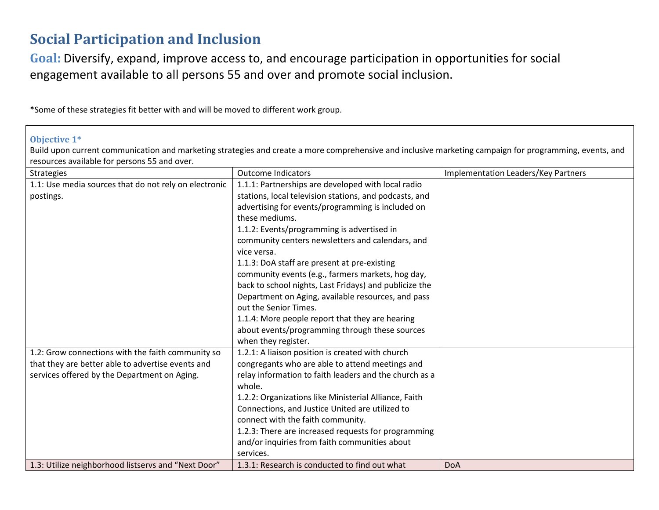## **Social Participation and Inclusion**

**Goal:** Diversify, expand, improve access to, and encourage participation in opportunities for social engagement available to all persons 55 and over and promote social inclusion.

\*Some of these strategies fit better with and will be moved to different work group.

## **Objective 1\***

Build upon current communication and marketing strategies and create a more comprehensive and inclusive marketing campaign for programming, events, and resources available for persons 55 and over.

| Strategies                                            | <b>Outcome Indicators</b>                              | Implementation Leaders/Key Partners |
|-------------------------------------------------------|--------------------------------------------------------|-------------------------------------|
| 1.1: Use media sources that do not rely on electronic | 1.1.1: Partnerships are developed with local radio     |                                     |
| postings.                                             | stations, local television stations, and podcasts, and |                                     |
|                                                       | advertising for events/programming is included on      |                                     |
|                                                       | these mediums.                                         |                                     |
|                                                       | 1.1.2: Events/programming is advertised in             |                                     |
|                                                       | community centers newsletters and calendars, and       |                                     |
|                                                       | vice versa.                                            |                                     |
|                                                       | 1.1.3: DoA staff are present at pre-existing           |                                     |
|                                                       | community events (e.g., farmers markets, hog day,      |                                     |
|                                                       | back to school nights, Last Fridays) and publicize the |                                     |
|                                                       | Department on Aging, available resources, and pass     |                                     |
|                                                       | out the Senior Times.                                  |                                     |
|                                                       | 1.1.4: More people report that they are hearing        |                                     |
|                                                       | about events/programming through these sources         |                                     |
|                                                       | when they register.                                    |                                     |
| 1.2: Grow connections with the faith community so     | 1.2.1: A liaison position is created with church       |                                     |
| that they are better able to advertise events and     | congregants who are able to attend meetings and        |                                     |
| services offered by the Department on Aging.          | relay information to faith leaders and the church as a |                                     |
|                                                       | whole.                                                 |                                     |
|                                                       | 1.2.2: Organizations like Ministerial Alliance, Faith  |                                     |
|                                                       | Connections, and Justice United are utilized to        |                                     |
|                                                       | connect with the faith community.                      |                                     |
|                                                       | 1.2.3: There are increased requests for programming    |                                     |
|                                                       | and/or inquiries from faith communities about          |                                     |
|                                                       | services.                                              |                                     |
| 1.3: Utilize neighborhood listservs and "Next Door"   | 1.3.1: Research is conducted to find out what          | <b>DoA</b>                          |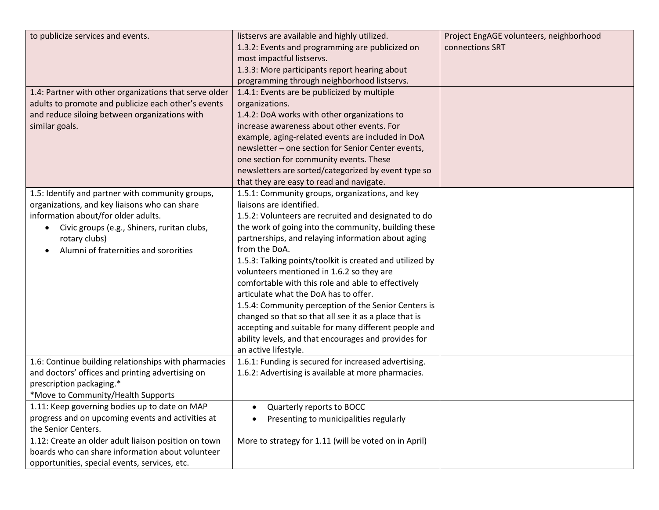| to publicize services and events.                        | listservs are available and highly utilized.             | Project EngAGE volunteers, neighborhood |
|----------------------------------------------------------|----------------------------------------------------------|-----------------------------------------|
|                                                          | 1.3.2: Events and programming are publicized on          | connections SRT                         |
|                                                          | most impactful listservs.                                |                                         |
|                                                          | 1.3.3: More participants report hearing about            |                                         |
|                                                          | programming through neighborhood listservs.              |                                         |
| 1.4: Partner with other organizations that serve older   | 1.4.1: Events are be publicized by multiple              |                                         |
| adults to promote and publicize each other's events      | organizations.                                           |                                         |
| and reduce siloing between organizations with            | 1.4.2: DoA works with other organizations to             |                                         |
| similar goals.                                           | increase awareness about other events. For               |                                         |
|                                                          | example, aging-related events are included in DoA        |                                         |
|                                                          | newsletter - one section for Senior Center events,       |                                         |
|                                                          | one section for community events. These                  |                                         |
|                                                          | newsletters are sorted/categorized by event type so      |                                         |
|                                                          | that they are easy to read and navigate.                 |                                         |
| 1.5: Identify and partner with community groups,         | 1.5.1: Community groups, organizations, and key          |                                         |
| organizations, and key liaisons who can share            | liaisons are identified.                                 |                                         |
| information about/for older adults.                      | 1.5.2: Volunteers are recruited and designated to do     |                                         |
| Civic groups (e.g., Shiners, ruritan clubs,<br>$\bullet$ | the work of going into the community, building these     |                                         |
| rotary clubs)                                            | partnerships, and relaying information about aging       |                                         |
| Alumni of fraternities and sororities                    | from the DoA.                                            |                                         |
|                                                          | 1.5.3: Talking points/toolkit is created and utilized by |                                         |
|                                                          | volunteers mentioned in 1.6.2 so they are                |                                         |
|                                                          | comfortable with this role and able to effectively       |                                         |
|                                                          | articulate what the DoA has to offer.                    |                                         |
|                                                          | 1.5.4: Community perception of the Senior Centers is     |                                         |
|                                                          | changed so that so that all see it as a place that is    |                                         |
|                                                          | accepting and suitable for many different people and     |                                         |
|                                                          | ability levels, and that encourages and provides for     |                                         |
|                                                          | an active lifestyle.                                     |                                         |
| 1.6: Continue building relationships with pharmacies     | 1.6.1: Funding is secured for increased advertising.     |                                         |
| and doctors' offices and printing advertising on         | 1.6.2: Advertising is available at more pharmacies.      |                                         |
| prescription packaging.*                                 |                                                          |                                         |
| *Move to Community/Health Supports                       |                                                          |                                         |
| 1.11: Keep governing bodies up to date on MAP            | Quarterly reports to BOCC                                |                                         |
| progress and on upcoming events and activities at        | Presenting to municipalities regularly                   |                                         |
| the Senior Centers.                                      |                                                          |                                         |
| 1.12: Create an older adult liaison position on town     | More to strategy for 1.11 (will be voted on in April)    |                                         |
| boards who can share information about volunteer         |                                                          |                                         |
| opportunities, special events, services, etc.            |                                                          |                                         |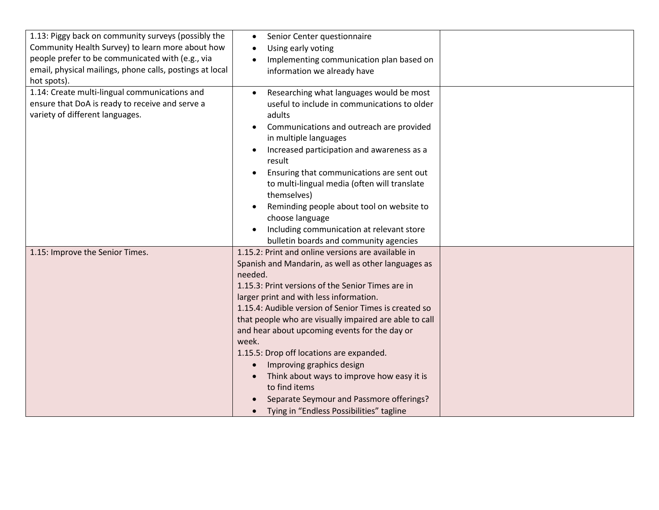| 1.13: Piggy back on community surveys (possibly the<br>Community Health Survey) to learn more about how<br>people prefer to be communicated with (e.g., via<br>email, physical mailings, phone calls, postings at local<br>hot spots). | Senior Center questionnaire<br>Using early voting<br>Implementing communication plan based on<br>$\bullet$<br>information we already have                                                                                                                                                                                                                                                                                                                                                                                                                                                                                                                                   |  |
|----------------------------------------------------------------------------------------------------------------------------------------------------------------------------------------------------------------------------------------|-----------------------------------------------------------------------------------------------------------------------------------------------------------------------------------------------------------------------------------------------------------------------------------------------------------------------------------------------------------------------------------------------------------------------------------------------------------------------------------------------------------------------------------------------------------------------------------------------------------------------------------------------------------------------------|--|
| 1.14: Create multi-lingual communications and<br>ensure that DoA is ready to receive and serve a<br>variety of different languages.                                                                                                    | Researching what languages would be most<br>useful to include in communications to older<br>adults<br>Communications and outreach are provided<br>in multiple languages<br>Increased participation and awareness as a<br>result<br>Ensuring that communications are sent out<br>to multi-lingual media (often will translate<br>themselves)<br>Reminding people about tool on website to<br>choose language<br>Including communication at relevant store                                                                                                                                                                                                                    |  |
| 1.15: Improve the Senior Times.                                                                                                                                                                                                        | bulletin boards and community agencies<br>1.15.2: Print and online versions are available in<br>Spanish and Mandarin, as well as other languages as<br>needed.<br>1.15.3: Print versions of the Senior Times are in<br>larger print and with less information.<br>1.15.4: Audible version of Senior Times is created so<br>that people who are visually impaired are able to call<br>and hear about upcoming events for the day or<br>week.<br>1.15.5: Drop off locations are expanded.<br>Improving graphics design<br>Think about ways to improve how easy it is<br>to find items<br>Separate Seymour and Passmore offerings?<br>Tying in "Endless Possibilities" tagline |  |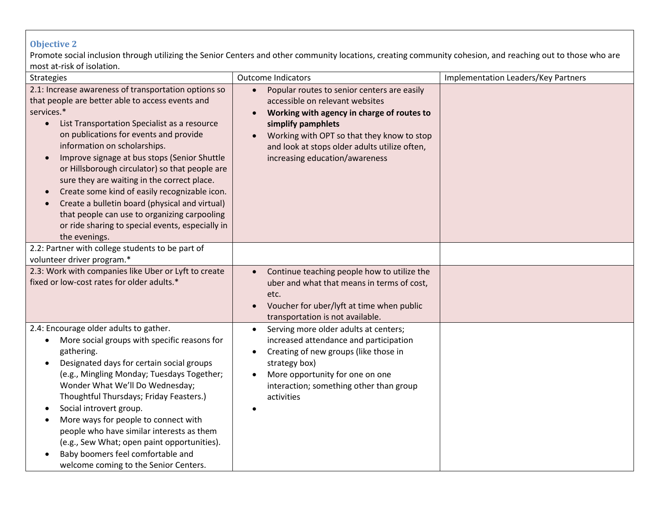## **Objective 2**

Promote social inclusion through utilizing the Senior Centers and other community locations, creating community cohesion, and reaching out to those who are most at-risk of isolation.

| <b>HUSE OF HUS OF ISOREIOH</b>                                                                                                                                                                                                                                                                                                                                                                                                                                                                                                                                                                                                                                                |                                                                                                                                                                                                                                                                                     |                                     |
|-------------------------------------------------------------------------------------------------------------------------------------------------------------------------------------------------------------------------------------------------------------------------------------------------------------------------------------------------------------------------------------------------------------------------------------------------------------------------------------------------------------------------------------------------------------------------------------------------------------------------------------------------------------------------------|-------------------------------------------------------------------------------------------------------------------------------------------------------------------------------------------------------------------------------------------------------------------------------------|-------------------------------------|
| <b>Strategies</b>                                                                                                                                                                                                                                                                                                                                                                                                                                                                                                                                                                                                                                                             | <b>Outcome Indicators</b>                                                                                                                                                                                                                                                           | Implementation Leaders/Key Partners |
| 2.1: Increase awareness of transportation options so<br>that people are better able to access events and<br>services.*<br>List Transportation Specialist as a resource<br>$\bullet$<br>on publications for events and provide<br>information on scholarships.<br>Improve signage at bus stops (Senior Shuttle<br>$\bullet$<br>or Hillsborough circulator) so that people are<br>sure they are waiting in the correct place.<br>Create some kind of easily recognizable icon.<br>$\bullet$<br>Create a bulletin board (physical and virtual)<br>$\bullet$<br>that people can use to organizing carpooling<br>or ride sharing to special events, especially in<br>the evenings. | Popular routes to senior centers are easily<br>accessible on relevant websites<br>Working with agency in charge of routes to<br>simplify pamphlets<br>Working with OPT so that they know to stop<br>and look at stops older adults utilize often,<br>increasing education/awareness |                                     |
| 2.2: Partner with college students to be part of<br>volunteer driver program.*                                                                                                                                                                                                                                                                                                                                                                                                                                                                                                                                                                                                |                                                                                                                                                                                                                                                                                     |                                     |
| 2.3: Work with companies like Uber or Lyft to create<br>fixed or low-cost rates for older adults.*                                                                                                                                                                                                                                                                                                                                                                                                                                                                                                                                                                            | Continue teaching people how to utilize the<br>$\bullet$<br>uber and what that means in terms of cost,<br>etc.<br>Voucher for uber/lyft at time when public<br>transportation is not available.                                                                                     |                                     |
| 2.4: Encourage older adults to gather.<br>More social groups with specific reasons for<br>٠<br>gathering.<br>Designated days for certain social groups<br>$\bullet$<br>(e.g., Mingling Monday; Tuesdays Together;<br>Wonder What We'll Do Wednesday;<br>Thoughtful Thursdays; Friday Feasters.)<br>Social introvert group.<br>٠<br>More ways for people to connect with<br>$\bullet$<br>people who have similar interests as them<br>(e.g., Sew What; open paint opportunities).<br>Baby boomers feel comfortable and<br>welcome coming to the Senior Centers.                                                                                                                | Serving more older adults at centers;<br>$\bullet$<br>increased attendance and participation<br>Creating of new groups (like those in<br>strategy box)<br>More opportunity for one on one<br>$\bullet$<br>interaction; something other than group<br>activities                     |                                     |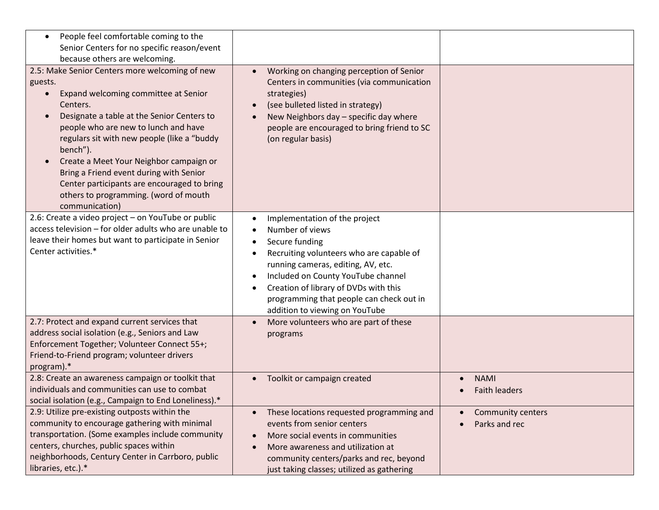| People feel comfortable coming to the<br>$\bullet$<br>Senior Centers for no specific reason/event<br>because others are welcoming.                                                                                                                                                                                                                                                                                                                                                       |                                                                                                                                                                                                                                                                                                                   |                                                  |
|------------------------------------------------------------------------------------------------------------------------------------------------------------------------------------------------------------------------------------------------------------------------------------------------------------------------------------------------------------------------------------------------------------------------------------------------------------------------------------------|-------------------------------------------------------------------------------------------------------------------------------------------------------------------------------------------------------------------------------------------------------------------------------------------------------------------|--------------------------------------------------|
| 2.5: Make Senior Centers more welcoming of new<br>guests.<br>Expand welcoming committee at Senior<br>$\bullet$<br>Centers.<br>Designate a table at the Senior Centers to<br>$\bullet$<br>people who are new to lunch and have<br>regulars sit with new people (like a "buddy<br>bench").<br>Create a Meet Your Neighbor campaign or<br>Bring a Friend event during with Senior<br>Center participants are encouraged to bring<br>others to programming. (word of mouth<br>communication) | Working on changing perception of Senior<br>Centers in communities (via communication<br>strategies)<br>(see bulleted listed in strategy)<br>New Neighbors day - specific day where<br>people are encouraged to bring friend to SC<br>(on regular basis)                                                          |                                                  |
| 2.6: Create a video project - on YouTube or public<br>access television - for older adults who are unable to<br>leave their homes but want to participate in Senior<br>Center activities.*                                                                                                                                                                                                                                                                                               | Implementation of the project<br>Number of views<br>Secure funding<br>Recruiting volunteers who are capable of<br>running cameras, editing, AV, etc.<br>Included on County YouTube channel<br>Creation of library of DVDs with this<br>programming that people can check out in<br>addition to viewing on YouTube |                                                  |
| 2.7: Protect and expand current services that<br>address social isolation (e.g., Seniors and Law<br>Enforcement Together; Volunteer Connect 55+;<br>Friend-to-Friend program; volunteer drivers<br>program).*                                                                                                                                                                                                                                                                            | More volunteers who are part of these<br>$\bullet$<br>programs                                                                                                                                                                                                                                                    |                                                  |
| 2.8: Create an awareness campaign or toolkit that<br>individuals and communities can use to combat<br>social isolation (e.g., Campaign to End Loneliness).*                                                                                                                                                                                                                                                                                                                              | Toolkit or campaign created                                                                                                                                                                                                                                                                                       | <b>NAMI</b><br>$\bullet$<br><b>Faith leaders</b> |
| 2.9: Utilize pre-existing outposts within the<br>community to encourage gathering with minimal<br>transportation. (Some examples include community<br>centers, churches, public spaces within<br>neighborhoods, Century Center in Carrboro, public<br>libraries, etc.).*                                                                                                                                                                                                                 | These locations requested programming and<br>events from senior centers<br>More social events in communities<br>More awareness and utilization at<br>community centers/parks and rec, beyond<br>just taking classes; utilized as gathering                                                                        | Community centers<br>Parks and rec               |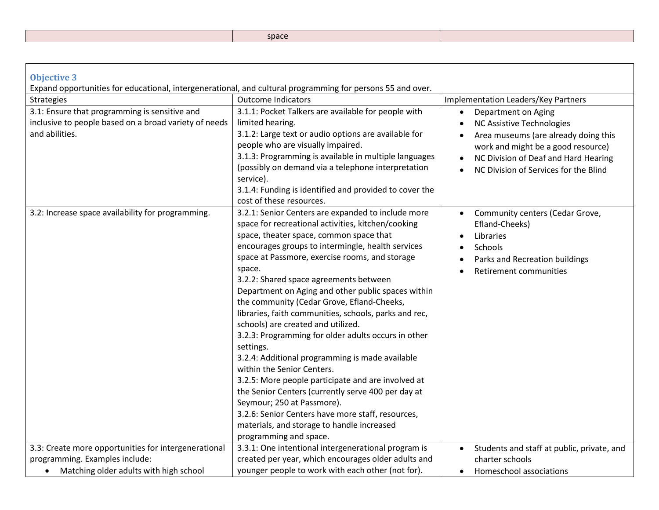| <b>Objective 3</b><br>Expand opportunities for educational, intergenerational, and cultural programming for persons 55 and over.              |                                                                                                                                                                                                                                                                                                                                                                                                                                                                                                                                                                                                                                                                                                                                                                                                                                                                                                                                               |                                                                                                                                                                                                                                           |
|-----------------------------------------------------------------------------------------------------------------------------------------------|-----------------------------------------------------------------------------------------------------------------------------------------------------------------------------------------------------------------------------------------------------------------------------------------------------------------------------------------------------------------------------------------------------------------------------------------------------------------------------------------------------------------------------------------------------------------------------------------------------------------------------------------------------------------------------------------------------------------------------------------------------------------------------------------------------------------------------------------------------------------------------------------------------------------------------------------------|-------------------------------------------------------------------------------------------------------------------------------------------------------------------------------------------------------------------------------------------|
|                                                                                                                                               | <b>Outcome Indicators</b>                                                                                                                                                                                                                                                                                                                                                                                                                                                                                                                                                                                                                                                                                                                                                                                                                                                                                                                     | Implementation Leaders/Key Partners                                                                                                                                                                                                       |
| <b>Strategies</b><br>3.1: Ensure that programming is sensitive and<br>inclusive to people based on a broad variety of needs<br>and abilities. | 3.1.1: Pocket Talkers are available for people with<br>limited hearing.<br>3.1.2: Large text or audio options are available for<br>people who are visually impaired.<br>3.1.3: Programming is available in multiple languages<br>(possibly on demand via a telephone interpretation<br>service).<br>3.1.4: Funding is identified and provided to cover the<br>cost of these resources.                                                                                                                                                                                                                                                                                                                                                                                                                                                                                                                                                        | Department on Aging<br>$\bullet$<br>NC Assistive Technologies<br>Area museums (are already doing this<br>$\bullet$<br>work and might be a good resource)<br>NC Division of Deaf and Hard Hearing<br>NC Division of Services for the Blind |
| 3.2: Increase space availability for programming.                                                                                             | 3.2.1: Senior Centers are expanded to include more<br>space for recreational activities, kitchen/cooking<br>space, theater space, common space that<br>encourages groups to intermingle, health services<br>space at Passmore, exercise rooms, and storage<br>space.<br>3.2.2: Shared space agreements between<br>Department on Aging and other public spaces within<br>the community (Cedar Grove, Efland-Cheeks,<br>libraries, faith communities, schools, parks and rec,<br>schools) are created and utilized.<br>3.2.3: Programming for older adults occurs in other<br>settings.<br>3.2.4: Additional programming is made available<br>within the Senior Centers.<br>3.2.5: More people participate and are involved at<br>the Senior Centers (currently serve 400 per day at<br>Seymour; 250 at Passmore).<br>3.2.6: Senior Centers have more staff, resources,<br>materials, and storage to handle increased<br>programming and space. | Community centers (Cedar Grove,<br>$\bullet$<br>Efland-Cheeks)<br>Libraries<br>Schools<br>Parks and Recreation buildings<br>Retirement communities                                                                                        |
| 3.3: Create more opportunities for intergenerational                                                                                          | 3.3.1: One intentional intergenerational program is                                                                                                                                                                                                                                                                                                                                                                                                                                                                                                                                                                                                                                                                                                                                                                                                                                                                                           | Students and staff at public, private, and<br>$\bullet$                                                                                                                                                                                   |
| programming. Examples include:                                                                                                                | created per year, which encourages older adults and                                                                                                                                                                                                                                                                                                                                                                                                                                                                                                                                                                                                                                                                                                                                                                                                                                                                                           | charter schools                                                                                                                                                                                                                           |
| Matching older adults with high school<br>$\bullet$                                                                                           | younger people to work with each other (not for).                                                                                                                                                                                                                                                                                                                                                                                                                                                                                                                                                                                                                                                                                                                                                                                                                                                                                             | Homeschool associations<br>٠                                                                                                                                                                                                              |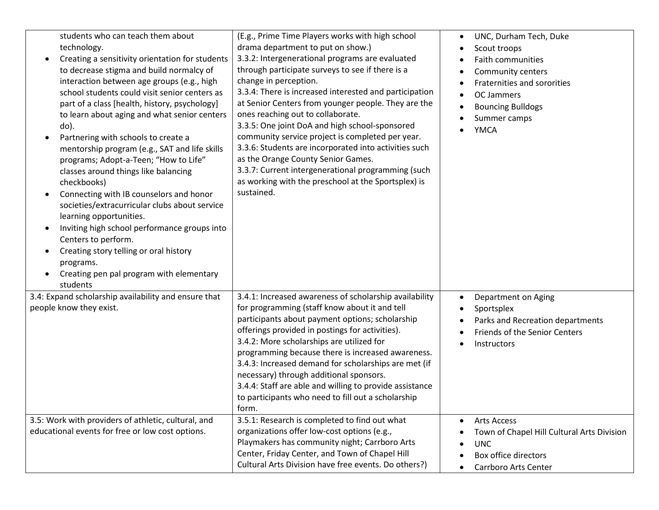| students who can teach them about<br>technology.<br>Creating a sensitivity orientation for students<br>to decrease stigma and build normalcy of<br>interaction between age groups (e.g., high<br>school students could visit senior centers as<br>part of a class [health, history, psychology]<br>to learn about aging and what senior centers<br>do).<br>Partnering with schools to create a<br>mentorship program (e.g., SAT and life skills<br>programs; Adopt-a-Teen; "How to Life"<br>classes around things like balancing<br>checkbooks)<br>Connecting with IB counselors and honor<br>societies/extracurricular clubs about service<br>learning opportunities.<br>Inviting high school performance groups into<br>Centers to perform.<br>Creating story telling or oral history<br>programs.<br>Creating pen pal program with elementary<br>students | (E.g., Prime Time Players works with high school<br>drama department to put on show.)<br>3.3.2: Intergenerational programs are evaluated<br>through participate surveys to see if there is a<br>change in perception.<br>3.3.4: There is increased interested and participation<br>at Senior Centers from younger people. They are the<br>ones reaching out to collaborate.<br>3.3.5: One joint DoA and high school-sponsored<br>community service project is completed per year.<br>3.3.6: Students are incorporated into activities such<br>as the Orange County Senior Games.<br>3.3.7: Current intergenerational programming (such<br>as working with the preschool at the Sportsplex) is<br>sustained. | UNC, Durham Tech, Duke<br>$\bullet$<br>Scout troops<br>٠<br>Faith communities<br>Community centers<br>Fraternities and sororities<br>OC Jammers<br><b>Bouncing Bulldogs</b><br>Summer camps<br><b>YMCA</b> |
|--------------------------------------------------------------------------------------------------------------------------------------------------------------------------------------------------------------------------------------------------------------------------------------------------------------------------------------------------------------------------------------------------------------------------------------------------------------------------------------------------------------------------------------------------------------------------------------------------------------------------------------------------------------------------------------------------------------------------------------------------------------------------------------------------------------------------------------------------------------|-------------------------------------------------------------------------------------------------------------------------------------------------------------------------------------------------------------------------------------------------------------------------------------------------------------------------------------------------------------------------------------------------------------------------------------------------------------------------------------------------------------------------------------------------------------------------------------------------------------------------------------------------------------------------------------------------------------|------------------------------------------------------------------------------------------------------------------------------------------------------------------------------------------------------------|
| 3.4: Expand scholarship availability and ensure that<br>people know they exist.                                                                                                                                                                                                                                                                                                                                                                                                                                                                                                                                                                                                                                                                                                                                                                              | 3.4.1: Increased awareness of scholarship availability<br>for programming (staff know about it and tell<br>participants about payment options; scholarship<br>offerings provided in postings for activities).<br>3.4.2: More scholarships are utilized for<br>programming because there is increased awareness.<br>3.4.3: Increased demand for scholarships are met (if<br>necessary) through additional sponsors.<br>3.4.4: Staff are able and willing to provide assistance<br>to participants who need to fill out a scholarship<br>form.                                                                                                                                                                | Department on Aging<br>$\bullet$<br>Sportsplex<br>Parks and Recreation departments<br>Friends of the Senior Centers<br>Instructors                                                                         |
| 3.5: Work with providers of athletic, cultural, and<br>educational events for free or low cost options.                                                                                                                                                                                                                                                                                                                                                                                                                                                                                                                                                                                                                                                                                                                                                      | 3.5.1: Research is completed to find out what<br>organizations offer low-cost options (e.g.,<br>Playmakers has community night; Carrboro Arts<br>Center, Friday Center, and Town of Chapel Hill<br>Cultural Arts Division have free events. Do others?)                                                                                                                                                                                                                                                                                                                                                                                                                                                     | <b>Arts Access</b><br>٠<br>Town of Chapel Hill Cultural Arts Division<br><b>UNC</b><br>$\bullet$<br>Box office directors<br>Carrboro Arts Center                                                           |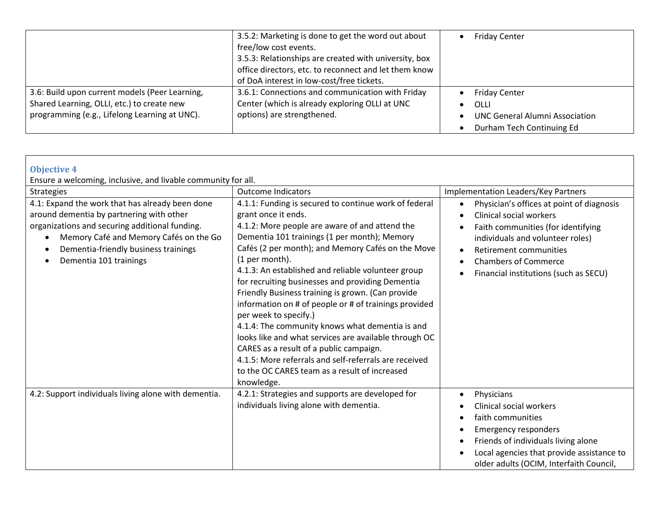|                                                | 3.5.2: Marketing is done to get the word out about<br>free/low cost events.<br>3.5.3: Relationships are created with university, box<br>office directors, etc. to reconnect and let them know | <b>Friday Center</b>                  |
|------------------------------------------------|-----------------------------------------------------------------------------------------------------------------------------------------------------------------------------------------------|---------------------------------------|
|                                                | of DoA interest in low-cost/free tickets.                                                                                                                                                     |                                       |
| 3.6: Build upon current models (Peer Learning, | 3.6.1: Connections and communication with Friday                                                                                                                                              | <b>Friday Center</b>                  |
| Shared Learning, OLLI, etc.) to create new     | Center (which is already exploring OLLI at UNC                                                                                                                                                | OLLI                                  |
| programming (e.g., Lifelong Learning at UNC).  | options) are strengthened.                                                                                                                                                                    | <b>UNC General Alumni Association</b> |
|                                                |                                                                                                                                                                                               | Durham Tech Continuing Ed             |

| <b>Objective 4</b><br>Ensure a welcoming, inclusive, and livable community for all.                                                                                                                                                                                            |                                                                                                                                                                                                                                                                                                                                                                                                                                                                                                                                                                                                                                                                                                                                                                                                                    |                                                                                                                                                                                                                                                                                                                                       |
|--------------------------------------------------------------------------------------------------------------------------------------------------------------------------------------------------------------------------------------------------------------------------------|--------------------------------------------------------------------------------------------------------------------------------------------------------------------------------------------------------------------------------------------------------------------------------------------------------------------------------------------------------------------------------------------------------------------------------------------------------------------------------------------------------------------------------------------------------------------------------------------------------------------------------------------------------------------------------------------------------------------------------------------------------------------------------------------------------------------|---------------------------------------------------------------------------------------------------------------------------------------------------------------------------------------------------------------------------------------------------------------------------------------------------------------------------------------|
| <b>Strategies</b><br>4.1: Expand the work that has already been done<br>around dementia by partnering with other<br>organizations and securing additional funding.<br>Memory Café and Memory Cafés on the Go<br>Dementia-friendly business trainings<br>Dementia 101 trainings | <b>Outcome Indicators</b><br>4.1.1: Funding is secured to continue work of federal<br>grant once it ends.<br>4.1.2: More people are aware of and attend the<br>Dementia 101 trainings (1 per month); Memory<br>Cafés (2 per month); and Memory Cafés on the Move<br>(1 per month).<br>4.1.3: An established and reliable volunteer group<br>for recruiting businesses and providing Dementia<br>Friendly Business training is grown. (Can provide<br>information on # of people or # of trainings provided<br>per week to specify.)<br>4.1.4: The community knows what dementia is and<br>looks like and what services are available through OC<br>CARES as a result of a public campaign.<br>4.1.5: More referrals and self-referrals are received<br>to the OC CARES team as a result of increased<br>knowledge. | Implementation Leaders/Key Partners<br>Physician's offices at point of diagnosis<br>$\bullet$<br><b>Clinical social workers</b><br>$\bullet$<br>Faith communities (for identifying<br>individuals and volunteer roles)<br>Retirement communities<br>$\bullet$<br><b>Chambers of Commerce</b><br>Financial institutions (such as SECU) |
| 4.2: Support individuals living alone with dementia.                                                                                                                                                                                                                           | 4.2.1: Strategies and supports are developed for<br>individuals living alone with dementia.                                                                                                                                                                                                                                                                                                                                                                                                                                                                                                                                                                                                                                                                                                                        | Physicians<br>$\bullet$<br><b>Clinical social workers</b><br>faith communities<br>$\bullet$<br><b>Emergency responders</b><br>$\bullet$<br>Friends of individuals living alone<br>$\bullet$<br>Local agencies that provide assistance to<br>older adults (OCIM, Interfaith Council,                                                   |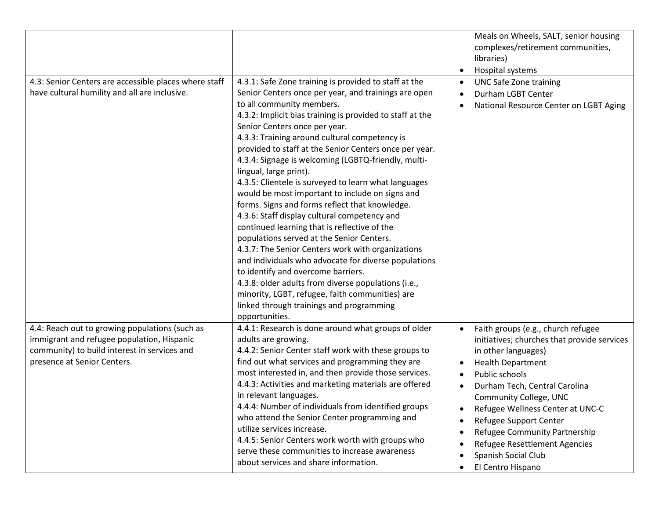|                                                                                                                                                                             |                                                                                                                                                                                                                                                                                                                                                                                                                                                                                                                                                                                                                                                                                                                                                                                                                                                                                                                                                                                                                                                                           | Meals on Wheels, SALT, senior housing<br>complexes/retirement communities,<br>libraries)<br>Hospital systems<br>$\bullet$                                                                                                                                                                                                                                                                                                            |
|-----------------------------------------------------------------------------------------------------------------------------------------------------------------------------|---------------------------------------------------------------------------------------------------------------------------------------------------------------------------------------------------------------------------------------------------------------------------------------------------------------------------------------------------------------------------------------------------------------------------------------------------------------------------------------------------------------------------------------------------------------------------------------------------------------------------------------------------------------------------------------------------------------------------------------------------------------------------------------------------------------------------------------------------------------------------------------------------------------------------------------------------------------------------------------------------------------------------------------------------------------------------|--------------------------------------------------------------------------------------------------------------------------------------------------------------------------------------------------------------------------------------------------------------------------------------------------------------------------------------------------------------------------------------------------------------------------------------|
| 4.3: Senior Centers are accessible places where staff<br>have cultural humility and all are inclusive.                                                                      | 4.3.1: Safe Zone training is provided to staff at the<br>Senior Centers once per year, and trainings are open<br>to all community members.<br>4.3.2: Implicit bias training is provided to staff at the<br>Senior Centers once per year.<br>4.3.3: Training around cultural competency is<br>provided to staff at the Senior Centers once per year.<br>4.3.4: Signage is welcoming (LGBTQ-friendly, multi-<br>lingual, large print).<br>4.3.5: Clientele is surveyed to learn what languages<br>would be most important to include on signs and<br>forms. Signs and forms reflect that knowledge.<br>4.3.6: Staff display cultural competency and<br>continued learning that is reflective of the<br>populations served at the Senior Centers.<br>4.3.7: The Senior Centers work with organizations<br>and individuals who advocate for diverse populations<br>to identify and overcome barriers.<br>4.3.8: older adults from diverse populations (i.e.,<br>minority, LGBT, refugee, faith communities) are<br>linked through trainings and programming<br>opportunities. | <b>UNC Safe Zone training</b><br>$\bullet$<br>Durham LGBT Center<br>National Resource Center on LGBT Aging                                                                                                                                                                                                                                                                                                                           |
| 4.4: Reach out to growing populations (such as<br>immigrant and refugee population, Hispanic<br>community) to build interest in services and<br>presence at Senior Centers. | 4.4.1: Research is done around what groups of older<br>adults are growing.<br>4.4.2: Senior Center staff work with these groups to<br>find out what services and programming they are<br>most interested in, and then provide those services.<br>4.4.3: Activities and marketing materials are offered<br>in relevant languages.<br>4.4.4: Number of individuals from identified groups<br>who attend the Senior Center programming and<br>utilize services increase.<br>4.4.5: Senior Centers work worth with groups who<br>serve these communities to increase awareness<br>about services and share information.                                                                                                                                                                                                                                                                                                                                                                                                                                                       | Faith groups (e.g., church refugee<br>$\bullet$<br>initiatives; churches that provide services<br>in other languages)<br><b>Health Department</b><br>Public schools<br>$\bullet$<br>Durham Tech, Central Carolina<br>Community College, UNC<br>Refugee Wellness Center at UNC-C<br>$\bullet$<br>Refugee Support Center<br>Refugee Community Partnership<br>Refugee Resettlement Agencies<br>Spanish Social Club<br>El Centro Hispano |